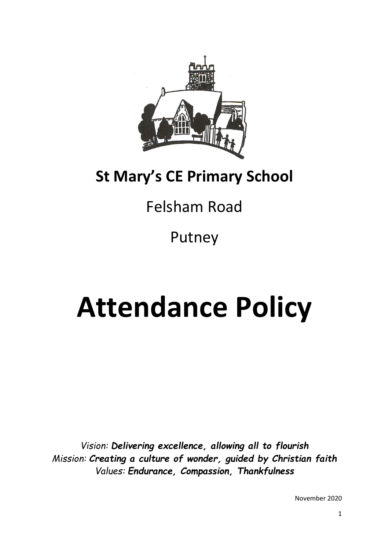

# **St Mary's CE Primary School**

# Felsham Road

Putney

# **Attendance Policy**

*Vision: Delivering excellence, allowing all to flourish Mission: Creating a culture of wonder, guided by Christian faith Values: Endurance, Compassion, Thankfulness*

November 2020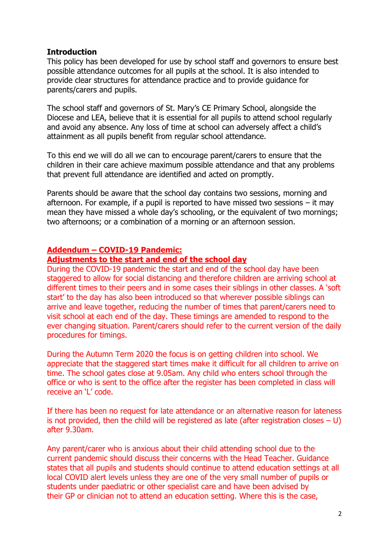#### **Introduction**

This policy has been developed for use by school staff and governors to ensure best possible attendance outcomes for all pupils at the school. It is also intended to provide clear structures for attendance practice and to provide guidance for parents/carers and pupils.

The school staff and governors of St. Mary's CE Primary School, alongside the Diocese and LEA, believe that it is essential for all pupils to attend school regularly and avoid any absence. Any loss of time at school can adversely affect a child's attainment as all pupils benefit from regular school attendance.

To this end we will do all we can to encourage parent/carers to ensure that the children in their care achieve maximum possible attendance and that any problems that prevent full attendance are identified and acted on promptly.

Parents should be aware that the school day contains two sessions, morning and afternoon. For example, if a pupil is reported to have missed two sessions – it may mean they have missed a whole day's schooling, or the equivalent of two mornings; two afternoons; or a combination of a morning or an afternoon session.

#### **Addendum – COVID-19 Pandemic:**

#### **Adjustments to the start and end of the school day**

During the COVID-19 pandemic the start and end of the school day have been staggered to allow for social distancing and therefore children are arriving school at different times to their peers and in some cases their siblings in other classes. A 'soft start' to the day has also been introduced so that wherever possible siblings can arrive and leave together, reducing the number of times that parent/carers need to visit school at each end of the day. These timings are amended to respond to the ever changing situation. Parent/carers should refer to the current version of the daily procedures for timings.

During the Autumn Term 2020 the focus is on getting children into school. We appreciate that the staggered start times make it difficult for all children to arrive on time. The school gates close at 9.05am. Any child who enters school through the office or who is sent to the office after the register has been completed in class will receive an 'L' code.

If there has been no request for late attendance or an alternative reason for lateness is not provided, then the child will be registered as late (after registration closes  $- U$ ) after 9.30am.

Any parent/carer who is anxious about their child attending school due to the current pandemic should discuss their concerns with the Head Teacher. Guidance states that all pupils and students should continue to attend education settings at all local COVID alert levels unless they are one of the very small number of pupils or students under paediatric or other specialist care and have been advised by their GP or clinician not to attend an education setting. Where this is the case,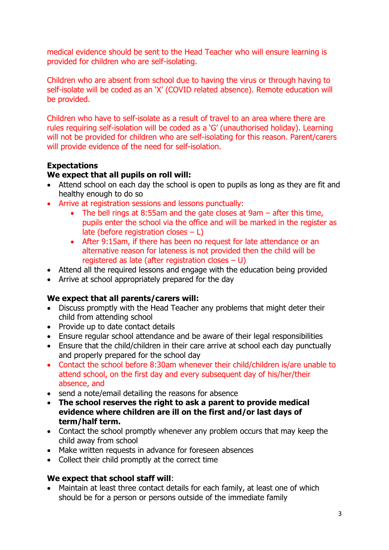medical evidence should be sent to the Head Teacher who will ensure learning is provided for children who are self-isolating.

Children who are absent from school due to having the virus or through having to self-isolate will be coded as an 'X' (COVID related absence). Remote education will be provided.

Children who have to self-isolate as a result of travel to an area where there are rules requiring self-isolation will be coded as a 'G' (unauthorised holiday). Learning will not be provided for children who are self-isolating for this reason. Parent/carers will provide evidence of the need for self-isolation.

#### **Expectations**

#### **We expect that all pupils on roll will:**

- Attend school on each day the school is open to pupils as long as they are fit and healthy enough to do so
- Arrive at registration sessions and lessons punctually:
	- The bell rings at 8:55am and the gate closes at 9am after this time, pupils enter the school via the office and will be marked in the register as late (before registration closes – L)
	- After 9:15am, if there has been no request for late attendance or an alternative reason for lateness is not provided then the child will be registered as late (after registration closes – U)
- Attend all the required lessons and engage with the education being provided
- Arrive at school appropriately prepared for the day

# **We expect that all parents/carers will:**

- Discuss promptly with the Head Teacher any problems that might deter their child from attending school
- Provide up to date contact details
- Ensure regular school attendance and be aware of their legal responsibilities
- Ensure that the child/children in their care arrive at school each day punctually and properly prepared for the school day
- Contact the school before 8:30am whenever their child/children is/are unable to attend school, on the first day and every subsequent day of his/her/their absence, and
- send a note/email detailing the reasons for absence
- **The school reserves the right to ask a parent to provide medical evidence where children are ill on the first and/or last days of term/half term.**
- Contact the school promptly whenever any problem occurs that may keep the child away from school
- Make written requests in advance for foreseen absences
- Collect their child promptly at the correct time

#### **We expect that school staff will**:

 Maintain at least three contact details for each family, at least one of which should be for a person or persons outside of the immediate family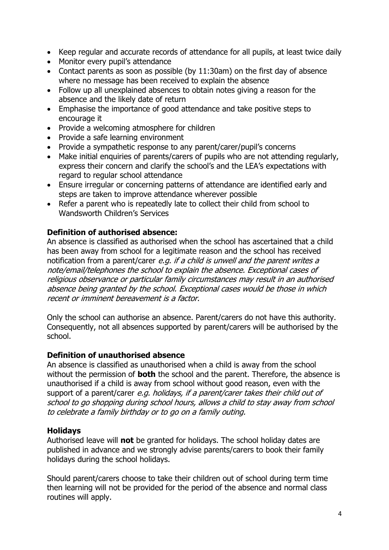- Keep regular and accurate records of attendance for all pupils, at least twice daily
- Monitor every pupil's attendance
- Contact parents as soon as possible (by 11:30am) on the first day of absence where no message has been received to explain the absence
- Follow up all unexplained absences to obtain notes giving a reason for the absence and the likely date of return
- Emphasise the importance of good attendance and take positive steps to encourage it
- Provide a welcoming atmosphere for children
- Provide a safe learning environment
- Provide a sympathetic response to any parent/carer/pupil's concerns
- Make initial enquiries of parents/carers of pupils who are not attending regularly, express their concern and clarify the school's and the LEA's expectations with regard to regular school attendance
- Ensure irregular or concerning patterns of attendance are identified early and steps are taken to improve attendance wherever possible
- Refer a parent who is repeatedly late to collect their child from school to Wandsworth Children's Services

#### **Definition of authorised absence:**

An absence is classified as authorised when the school has ascertained that a child has been away from school for a legitimate reason and the school has received notification from a parent/carer e.g. if a child is unwell and the parent writes a note/email/telephones the school to explain the absence. Exceptional cases of religious observance or particular family circumstances may result in an authorised absence being granted by the school. Exceptional cases would be those in which recent or imminent bereavement is a factor.

Only the school can authorise an absence. Parent/carers do not have this authority. Consequently, not all absences supported by parent/carers will be authorised by the school.

#### **Definition of unauthorised absence**

An absence is classified as unauthorised when a child is away from the school without the permission of **both** the school and the parent. Therefore, the absence is unauthorised if a child is away from school without good reason, even with the support of a parent/carer e.g. holidays, if a parent/carer takes their child out of school to go shopping during school hours, allows a child to stay away from school to celebrate a family birthday or to go on a family outing.

#### **Holidays**

Authorised leave will **not** be granted for holidays. The school holiday dates are published in advance and we strongly advise parents/carers to book their family holidays during the school holidays.

Should parent/carers choose to take their children out of school during term time then learning will not be provided for the period of the absence and normal class routines will apply.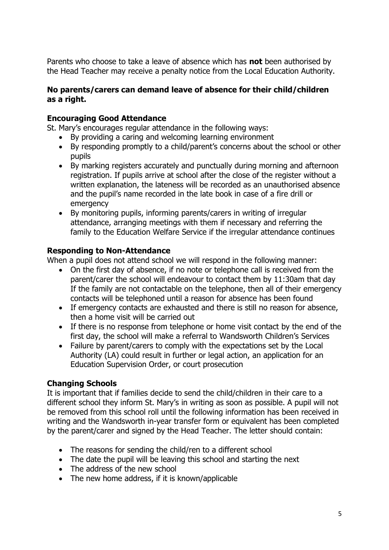Parents who choose to take a leave of absence which has **not** been authorised by the Head Teacher may receive a penalty notice from the Local Education Authority.

#### **No parents/carers can demand leave of absence for their child/children as a right.**

#### **Encouraging Good Attendance**

St. Mary's encourages regular attendance in the following ways:

- By providing a caring and welcoming learning environment
- By responding promptly to a child/parent's concerns about the school or other pupils
- By marking registers accurately and punctually during morning and afternoon registration. If pupils arrive at school after the close of the register without a written explanation, the lateness will be recorded as an unauthorised absence and the pupil's name recorded in the late book in case of a fire drill or emergency
- By monitoring pupils, informing parents/carers in writing of irregular attendance, arranging meetings with them if necessary and referring the family to the Education Welfare Service if the irregular attendance continues

#### **Responding to Non-Attendance**

When a pupil does not attend school we will respond in the following manner:

- On the first day of absence, if no note or telephone call is received from the parent/carer the school will endeavour to contact them by 11:30am that day If the family are not contactable on the telephone, then all of their emergency contacts will be telephoned until a reason for absence has been found
- If emergency contacts are exhausted and there is still no reason for absence, then a home visit will be carried out
- If there is no response from telephone or home visit contact by the end of the first day, the school will make a referral to Wandsworth Children's Services
- Failure by parent/carers to comply with the expectations set by the Local Authority (LA) could result in further or legal action, an application for an Education Supervision Order, or court prosecution

# **Changing Schools**

It is important that if families decide to send the child/children in their care to a different school they inform St. Mary's in writing as soon as possible. A pupil will not be removed from this school roll until the following information has been received in writing and the Wandsworth in-year transfer form or equivalent has been completed by the parent/carer and signed by the Head Teacher. The letter should contain:

- The reasons for sending the child/ren to a different school
- The date the pupil will be leaving this school and starting the next
- The address of the new school
- The new home address, if it is known/applicable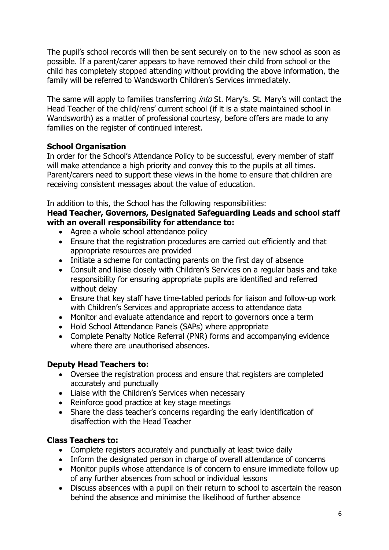The pupil's school records will then be sent securely on to the new school as soon as possible. If a parent/carer appears to have removed their child from school or the child has completely stopped attending without providing the above information, the family will be referred to Wandsworth Children's Services immediately.

The same will apply to families transferring *into* St. Mary's. St. Mary's will contact the Head Teacher of the child/rens' current school (if it is a state maintained school in Wandsworth) as a matter of professional courtesy, before offers are made to any families on the register of continued interest.

# **School Organisation**

In order for the School's Attendance Policy to be successful, every member of staff will make attendance a high priority and convey this to the pupils at all times. Parent/carers need to support these views in the home to ensure that children are receiving consistent messages about the value of education.

In addition to this, the School has the following responsibilities:

### **Head Teacher, Governors, Designated Safeguarding Leads and school staff with an overall responsibility for attendance to:**

- Agree a whole school attendance policy
- Ensure that the registration procedures are carried out efficiently and that appropriate resources are provided
- Initiate a scheme for contacting parents on the first day of absence
- Consult and liaise closely with Children's Services on a regular basis and take responsibility for ensuring appropriate pupils are identified and referred without delay
- Ensure that key staff have time-tabled periods for liaison and follow-up work with Children's Services and appropriate access to attendance data
- Monitor and evaluate attendance and report to governors once a term
- Hold School Attendance Panels (SAPs) where appropriate
- Complete Penalty Notice Referral (PNR) forms and accompanying evidence where there are unauthorised absences.

# **Deputy Head Teachers to:**

- Oversee the registration process and ensure that registers are completed accurately and punctually
- Liaise with the Children's Services when necessary
- Reinforce good practice at key stage meetings
- Share the class teacher's concerns regarding the early identification of disaffection with the Head Teacher

# **Class Teachers to:**

- Complete registers accurately and punctually at least twice daily
- Inform the designated person in charge of overall attendance of concerns
- Monitor pupils whose attendance is of concern to ensure immediate follow up of any further absences from school or individual lessons
- Discuss absences with a pupil on their return to school to ascertain the reason behind the absence and minimise the likelihood of further absence